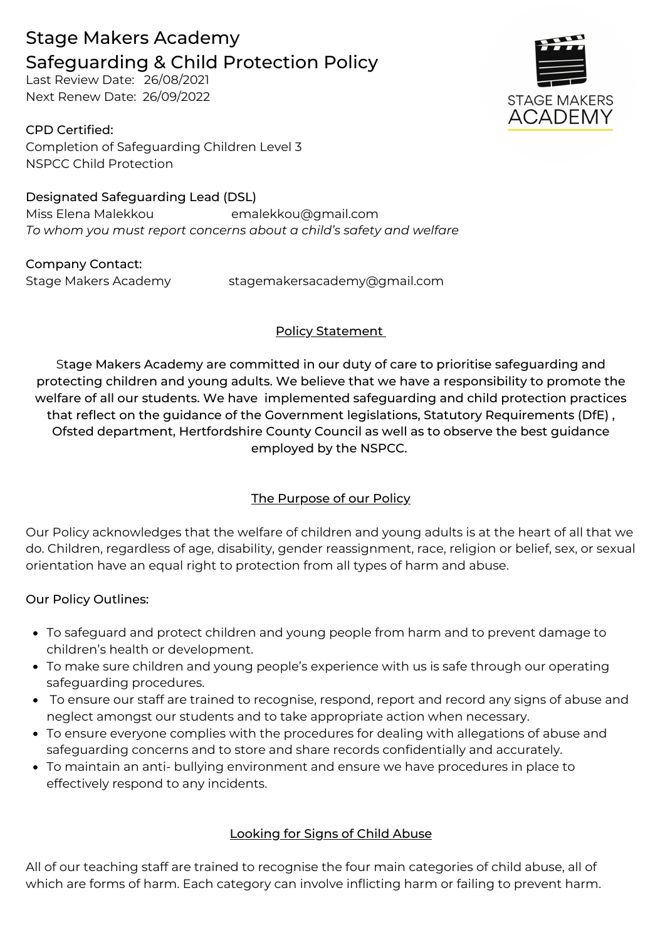# Stage Makers Academy Safeguarding & Child Protection Policy

Last Review Date: 26/08/2021 Next Renew Date: 26/09/2022

CPD Certified: Completion of Safeguarding Children Level 3 NSPCC Child Protection

Designated Safeguarding Lead (DSL) Miss Elena Malekkou emalekkou@gmail.com *To whom you must report concerns about a child's safety and welfare*

Company Contact:

Stage Makers Academy stagemakersacademy@gmail.com

# Policy Statement

Stage Makers Academy are committed in our duty of care to prioritise safeguarding and protecting children and young adults. We believe that we have a responsibility to promote the welfare of all our students. We have implemented safeguarding and child protection practices that reflect on the guidance of the Government legislations, Statutory Requirements (DfE) , Ofsted department, Hertfordshire County Council as well as to observe the best guidance employed by the NSPCC.

# The Purpose of our Policy

Our Policy acknowledges that the welfare of children and young adults is at the heart of all that we do. Children, regardless of age, disability, gender reassignment, race, religion or belief, sex, or sexual orientation have an equal right to protection from all types of harm and abuse.

# Our Policy Outlines:

- To safeguard and protect children and young people from harm and to prevent damage to children's health or development.
- To make sure children and young people's experience with us is safe through our operating safeguarding procedures.
- To ensure our staff are trained to recognise, respond, report and record any signs of abuse and neglect amongst our students and to take appropriate action when necessary.
- To ensure everyone complies with the procedures for dealing with allegations of abuse and safeguarding concerns and to store and share records confidentially and accurately.
- To maintain an anti- bullying environment and ensure we have procedures in place to effectively respond to any incidents.

# Looking for Signs of Child Abuse

All of our teaching staff are trained to recognise the four main categories of child abuse, all of which are forms of harm. Each category can involve inflicting harm or failing to prevent harm.

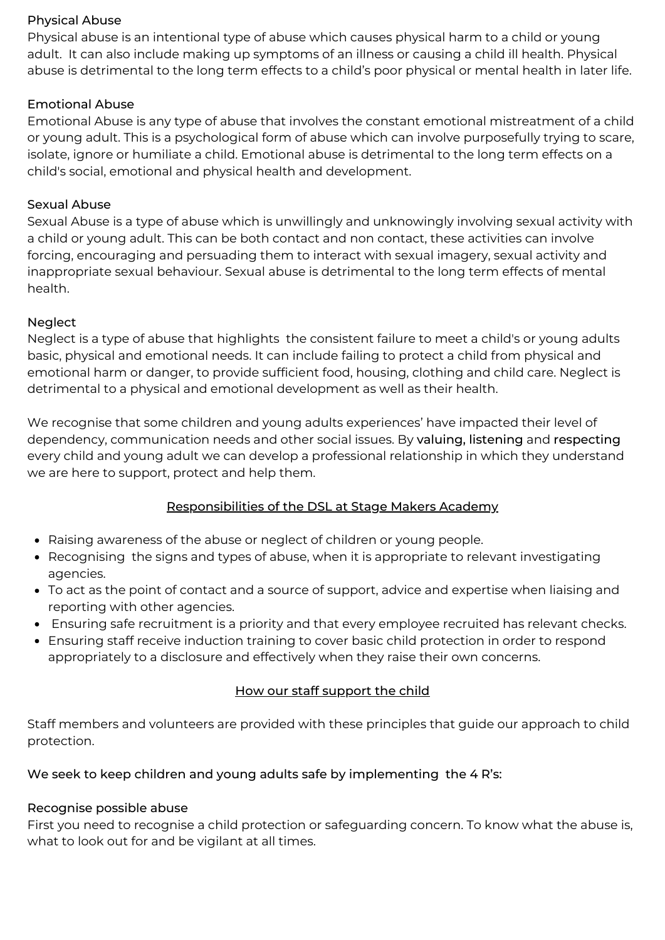#### Physical Abuse

Physical abuse is an intentional type of abuse which causes physical harm to a child or young adult. It can also include making up symptoms of an illness or causing a child ill health. Physical abuse is detrimental to the long term effects to a child's poor physical or mental health in later life.

## Emotional Abuse

Emotional Abuse is any type of abuse that involves the constant emotional mistreatment of a child or young adult. This is a psychological form of abuse which can involve purposefully trying to scare, isolate, ignore or humiliate a child. Emotional abuse is detrimental to the long term effects on a child's social, emotional and physical health and development.

## Sexual Abuse

Sexual Abuse is a type of abuse which is unwillingly and unknowingly involving sexual activity with a child or young adult. This can be both contact and non contact, these activities can involve forcing, encouraging and persuading them to interact with sexual imagery, sexual activity and inappropriate sexual behaviour. Sexual abuse is detrimental to the long term effects of mental health.

## Neglect

Neglect is a type of abuse that highlights the consistent failure to meet a child's or young adults basic, physical and emotional needs. It can include failing to protect a child from physical and emotional harm or danger, to provide sufficient food, housing, clothing and child care. Neglect is detrimental to a physical and emotional development as well as their health.

We recognise that some children and young adults experiences' have impacted their level of dependency, communication needs and other social issues. By valuing, listening and respecting every child and young adult we can develop a professional relationship in which they understand we are here to support, protect and help them.

## Responsibilities of the DSL at Stage Makers Academy

- Raising awareness of the abuse or neglect of children or young people.
- Recognising the signs and types of abuse, when it is appropriate to relevant investigating agencies.
- To act as the point of contact and a source of support, advice and expertise when liaising and reporting with other agencies.
- Ensuring safe recruitment is a priority and that every employee recruited has relevant checks.
- Ensuring staff receive induction training to cover basic child protection in order to respond appropriately to a disclosure and effectively when they raise their own concerns.

## How our staff support the child

Staff members and volunteers are provided with these principles that guide our approach to child protection.

## We seek to keep children and young adults safe by implementing the 4 R's:

## Recognise possible abuse

First you need to recognise a child protection or safeguarding concern. To know what the abuse is, what to look out for and be vigilant at all times.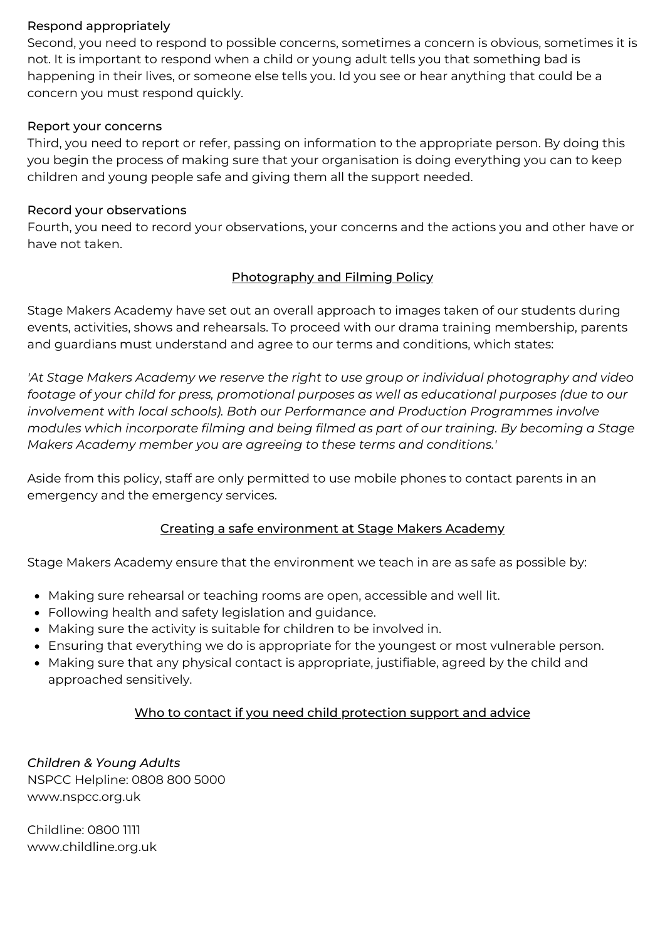## Respond appropriately

Second, you need to respond to possible concerns, sometimes a concern is obvious, sometimes it is not. It is important to respond when a child or young adult tells you that something bad is happening in their lives, or someone else tells you. Id you see or hear anything that could be a concern you must respond quickly.

#### Report your concerns

Third, you need to report or refer, passing on information to the appropriate person. By doing this you begin the process of making sure that your organisation is doing everything you can to keep children and young people safe and giving them all the support needed.

#### Record your observations

Fourth, you need to record your observations, your concerns and the actions you and other have or have not taken.

## Photography and Filming Policy

Stage Makers Academy have set out an overall approach to images taken of our students during events, activities, shows and rehearsals. To proceed with our drama training membership, parents and guardians must understand and agree to our terms and conditions, which states:

*'At Stage Makers Academy we reserve the right to use group or individual photography and video footage of your child for press, promotional purposes as well as educational purposes (due to our involvement with local schools). Both our Performance and Production Programmes involve modules which incorporate filming and being filmed as part of our training. By becoming a Stage Makers Academy member you are agreeing to these terms and conditions.'*

Aside from this policy, staff are only permitted to use mobile phones to contact parents in an emergency and the emergency services.

## Creating a safe environment at Stage Makers Academy

Stage Makers Academy ensure that the environment we teach in are as safe as possible by:

- Making sure rehearsal or teaching rooms are open, accessible and well lit.
- Following health and safety legislation and guidance.
- Making sure the activity is suitable for children to be involved in.
- Ensuring that everything we do is appropriate for the youngest or most vulnerable person.
- Making sure that any physical contact is appropriate, justifiable, agreed by the child and approached sensitively.

## Who to contact if you need child protection support and advice

*Children & Young Adults* NSPCC Helpline: 0808 800 5000 www.nspcc.org.uk

Childline: 0800 1111 www.childline.org.uk